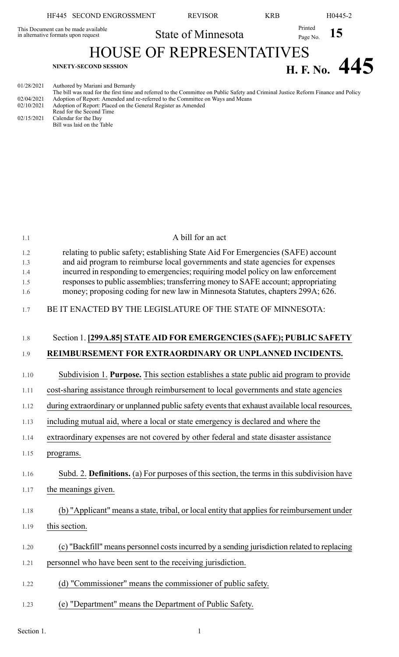|            | HF445 SECOND ENGROSSMENT                                                   | <b>REVISOR</b>                  | <b>KRB</b>          | H <sub>0</sub> 445-2 |
|------------|----------------------------------------------------------------------------|---------------------------------|---------------------|----------------------|
|            | This Document can be made available<br>in alternative formats upon request | State of Minnesota              | Printed<br>Page No. | 15                   |
|            |                                                                            | <b>HOUSE OF REPRESENTATIVES</b> |                     |                      |
|            | <b>NINETY-SECOND SESSION</b>                                               |                                 |                     | H. F. No. $445$      |
| 01/28/2021 | Authored by Mariani and Bernardy                                           |                                 |                     |                      |

01/28/2021 Authored by Mariani and Bernardy

The bill was read for the first time and referred to the Committee on Public Safety and Criminal Justice Reform Finance and Policy 02/04/2021 Adoption of Report: Amended and re-referred to the Committee on Ways and Means 02/10/2021 Adoption of Report: Placed on the General Register as Amended Read for the Second Time 02/15/2021 Calendar for the Day

Bill was laid on the Table

| 1.1                             | A bill for an act                                                                                                                                                                                                                                                                                                                                                                                                             |
|---------------------------------|-------------------------------------------------------------------------------------------------------------------------------------------------------------------------------------------------------------------------------------------------------------------------------------------------------------------------------------------------------------------------------------------------------------------------------|
| 1.2<br>1.3<br>1.4<br>1.5<br>1.6 | relating to public safety; establishing State Aid For Emergencies (SAFE) account<br>and aid program to reimburse local governments and state agencies for expenses<br>incurred in responding to emergencies; requiring model policy on law enforcement<br>responses to public assemblies; transferring money to SAFE account; appropriating<br>money; proposing coding for new law in Minnesota Statutes, chapters 299A; 626. |
| 1.7                             | BE IT ENACTED BY THE LEGISLATURE OF THE STATE OF MINNESOTA:                                                                                                                                                                                                                                                                                                                                                                   |
| 1.8                             | Section 1. [299A.85] STATE AID FOR EMERGENCIES (SAFE); PUBLIC SAFETY                                                                                                                                                                                                                                                                                                                                                          |
| 1.9                             | REIMBURSEMENT FOR EXTRAORDINARY OR UNPLANNED INCIDENTS.                                                                                                                                                                                                                                                                                                                                                                       |
| 1.10                            | Subdivision 1. Purpose. This section establishes a state public aid program to provide                                                                                                                                                                                                                                                                                                                                        |
| 1.11                            | cost-sharing assistance through reimbursement to local governments and state agencies                                                                                                                                                                                                                                                                                                                                         |
| 1.12                            | during extraordinary or unplanned public safety events that exhaust available local resources,                                                                                                                                                                                                                                                                                                                                |
| 1.13                            | including mutual aid, where a local or state emergency is declared and where the                                                                                                                                                                                                                                                                                                                                              |
| 1.14                            | extraordinary expenses are not covered by other federal and state disaster assistance                                                                                                                                                                                                                                                                                                                                         |
| 1.15                            | programs.                                                                                                                                                                                                                                                                                                                                                                                                                     |
| 1.16                            | Subd. 2. Definitions. (a) For purposes of this section, the terms in this subdivision have                                                                                                                                                                                                                                                                                                                                    |
| 1.17                            | the meanings given.                                                                                                                                                                                                                                                                                                                                                                                                           |
| 1.18                            | (b) "Applicant" means a state, tribal, or local entity that applies for reimbursement under                                                                                                                                                                                                                                                                                                                                   |
| 1.19                            | this section.                                                                                                                                                                                                                                                                                                                                                                                                                 |
| 1.20                            | (c) "Backfill" means personnel costs incurred by a sending jurisdiction related to replacing                                                                                                                                                                                                                                                                                                                                  |
| 1.21                            | personnel who have been sent to the receiving jurisdiction.                                                                                                                                                                                                                                                                                                                                                                   |
| 1.22                            | (d) "Commissioner" means the commissioner of public safety.                                                                                                                                                                                                                                                                                                                                                                   |
| 1.23                            | (e) "Department" means the Department of Public Safety.                                                                                                                                                                                                                                                                                                                                                                       |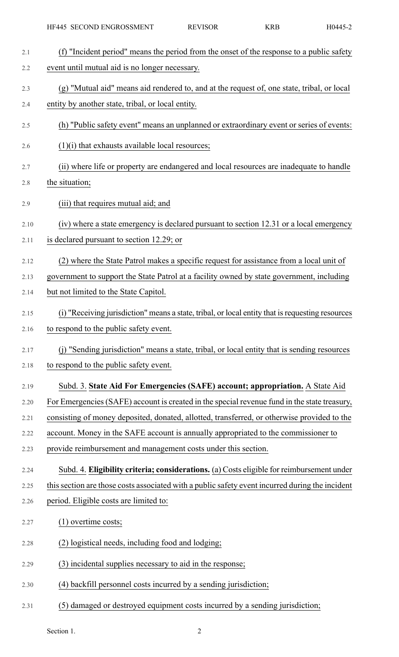| 2.1  | (f) "Incident period" means the period from the onset of the response to a public safety         |
|------|--------------------------------------------------------------------------------------------------|
| 2.2  | event until mutual aid is no longer necessary.                                                   |
| 2.3  | (g) "Mutual aid" means aid rendered to, and at the request of, one state, tribal, or local       |
| 2.4  | entity by another state, tribal, or local entity.                                                |
| 2.5  | (h) "Public safety event" means an unplanned or extraordinary event or series of events:         |
| 2.6  | $(1)(i)$ that exhausts available local resources;                                                |
| 2.7  | (ii) where life or property are endangered and local resources are inadequate to handle          |
| 2.8  | the situation;                                                                                   |
| 2.9  | (iii) that requires mutual aid; and                                                              |
| 2.10 | (iv) where a state emergency is declared pursuant to section 12.31 or a local emergency          |
| 2.11 | is declared pursuant to section 12.29; or                                                        |
| 2.12 | (2) where the State Patrol makes a specific request for assistance from a local unit of          |
| 2.13 | government to support the State Patrol at a facility owned by state government, including        |
| 2.14 | but not limited to the State Capitol.                                                            |
| 2.15 | (i) "Receiving jurisdiction" means a state, tribal, or local entity that is requesting resources |
| 2.16 | to respond to the public safety event.                                                           |
| 2.17 | (j) "Sending jurisdiction" means a state, tribal, or local entity that is sending resources      |
| 2.18 | to respond to the public safety event.                                                           |
| 2.19 | Subd. 3. State Aid For Emergencies (SAFE) account; appropriation. A State Aid                    |
| 2.20 | For Emergencies (SAFE) account is created in the special revenue fund in the state treasury,     |
| 2.21 | consisting of money deposited, donated, allotted, transferred, or otherwise provided to the      |
| 2.22 | account. Money in the SAFE account is annually appropriated to the commissioner to               |
| 2.23 | provide reimbursement and management costs under this section.                                   |
| 2.24 | Subd. 4. Eligibility criteria; considerations. (a) Costs eligible for reimbursement under        |
| 2.25 | this section are those costs associated with a public safety event incurred during the incident  |
| 2.26 | period. Eligible costs are limited to:                                                           |
| 2.27 | (1) overtime costs;                                                                              |
| 2.28 | (2) logistical needs, including food and lodging;                                                |
| 2.29 | (3) incidental supplies necessary to aid in the response;                                        |
| 2.30 | (4) backfill personnel costs incurred by a sending jurisdiction;                                 |
| 2.31 | (5) damaged or destroyed equipment costs incurred by a sending jurisdiction;                     |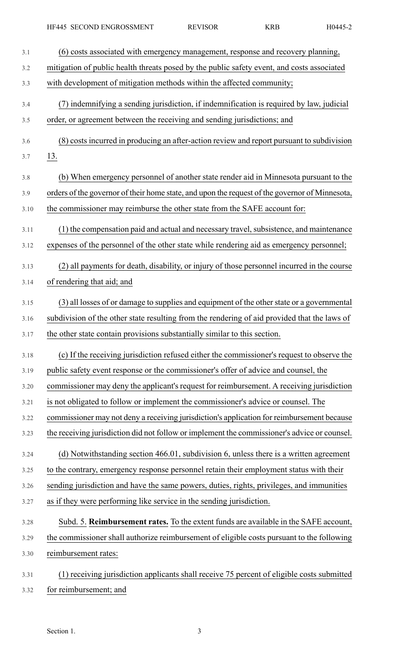| 3.1  | (6) costs associated with emergency management, response and recovery planning,                |
|------|------------------------------------------------------------------------------------------------|
| 3.2  | mitigation of public health threats posed by the public safety event, and costs associated     |
| 3.3  | with development of mitigation methods within the affected community;                          |
| 3.4  | (7) indemnifying a sending jurisdiction, if indemnification is required by law, judicial       |
| 3.5  | order, or agreement between the receiving and sending jurisdictions; and                       |
| 3.6  | (8) costs incurred in producing an after-action review and report pursuant to subdivision      |
| 3.7  | <u>13.</u>                                                                                     |
| 3.8  | (b) When emergency personnel of another state render aid in Minnesota pursuant to the          |
| 3.9  | orders of the governor of their home state, and upon the request of the governor of Minnesota, |
| 3.10 | the commissioner may reimburse the other state from the SAFE account for:                      |
| 3.11 | (1) the compensation paid and actual and necessary travel, subsistence, and maintenance        |
| 3.12 | expenses of the personnel of the other state while rendering aid as emergency personnel;       |
| 3.13 | (2) all payments for death, disability, or injury of those personnel incurred in the course    |
| 3.14 | of rendering that aid; and                                                                     |
| 3.15 | (3) all losses of or damage to supplies and equipment of the other state or a governmental     |
| 3.16 | subdivision of the other state resulting from the rendering of aid provided that the laws of   |
| 3.17 | the other state contain provisions substantially similar to this section.                      |
| 3.18 | (c) If the receiving jurisdiction refused either the commissioner's request to observe the     |
| 3.19 | public safety event response or the commissioner's offer of advice and counsel, the            |
| 3.20 | commissioner may deny the applicant's request for reimbursement. A receiving jurisdiction      |
| 3.21 | is not obligated to follow or implement the commissioner's advice or counsel. The              |
| 3.22 | commissioner may not deny a receiving jurisdiction's application for reimbursement because     |
| 3.23 | the receiving jurisdiction did not follow or implement the commissioner's advice or counsel.   |
| 3.24 | (d) Notwithstanding section 466.01, subdivision 6, unless there is a written agreement         |
| 3.25 | to the contrary, emergency response personnel retain their employment status with their        |
| 3.26 | sending jurisdiction and have the same powers, duties, rights, privileges, and immunities      |
| 3.27 | as if they were performing like service in the sending jurisdiction.                           |
| 3.28 | Subd. 5. Reimbursement rates. To the extent funds are available in the SAFE account,           |
| 3.29 | the commissioner shall authorize reimbursement of eligible costs pursuant to the following     |
| 3.30 | reimbursement rates:                                                                           |
| 3.31 | (1) receiving jurisdiction applicants shall receive 75 percent of eligible costs submitted     |
| 3.32 | for reimbursement; and                                                                         |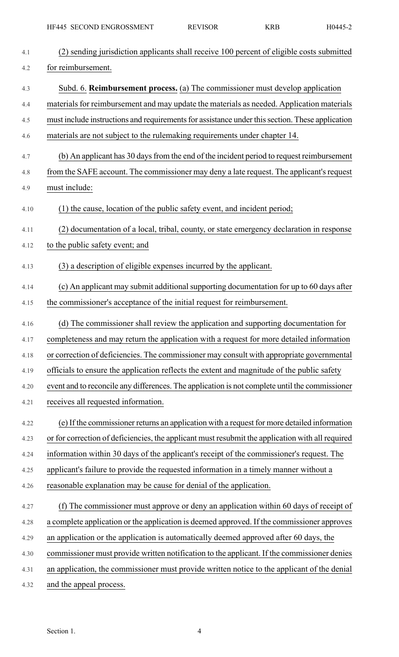| 4.1  | (2) sending jurisdiction applicants shall receive 100 percent of eligible costs submitted        |
|------|--------------------------------------------------------------------------------------------------|
| 4.2  | for reimbursement.                                                                               |
| 4.3  | Subd. 6. Reimbursement process. (a) The commissioner must develop application                    |
| 4.4  | materials for reimbursement and may update the materials as needed. Application materials        |
| 4.5  | must include instructions and requirements for assistance under this section. These application  |
| 4.6  | materials are not subject to the rulemaking requirements under chapter 14.                       |
| 4.7  | (b) An applicant has 30 days from the end of the incident period to request reimbursement        |
| 4.8  | from the SAFE account. The commissioner may deny a late request. The applicant's request         |
| 4.9  | must include:                                                                                    |
| 4.10 | (1) the cause, location of the public safety event, and incident period;                         |
| 4.11 | (2) documentation of a local, tribal, county, or state emergency declaration in response         |
| 4.12 | to the public safety event; and                                                                  |
| 4.13 | (3) a description of eligible expenses incurred by the applicant.                                |
| 4.14 | (c) An applicant may submit additional supporting documentation for up to 60 days after          |
| 4.15 | the commissioner's acceptance of the initial request for reimbursement.                          |
| 4.16 | (d) The commissioner shall review the application and supporting documentation for               |
| 4.17 | completeness and may return the application with a request for more detailed information         |
| 4.18 | or correction of deficiencies. The commissioner may consult with appropriate governmental        |
| 4.19 | officials to ensure the application reflects the extent and magnitude of the public safety       |
| 4.20 | event and to reconcile any differences. The application is not complete until the commissioner   |
| 4.21 | receives all requested information.                                                              |
| 4.22 | (e) If the commissioner returns an application with a request for more detailed information      |
| 4.23 | or for correction of deficiencies, the applicant must resubmit the application with all required |
| 4.24 | information within 30 days of the applicant's receipt of the commissioner's request. The         |
| 4.25 | applicant's failure to provide the requested information in a timely manner without a            |
| 4.26 | reasonable explanation may be cause for denial of the application.                               |
| 4.27 | (f) The commissioner must approve or deny an application within 60 days of receipt of            |
| 4.28 | a complete application or the application is deemed approved. If the commissioner approves       |
| 4.29 | an application or the application is automatically deemed approved after 60 days, the            |
| 4.30 | commissioner must provide written notification to the applicant. If the commissioner denies      |
| 4.31 | an application, the commissioner must provide written notice to the applicant of the denial      |
| 4.32 | and the appeal process.                                                                          |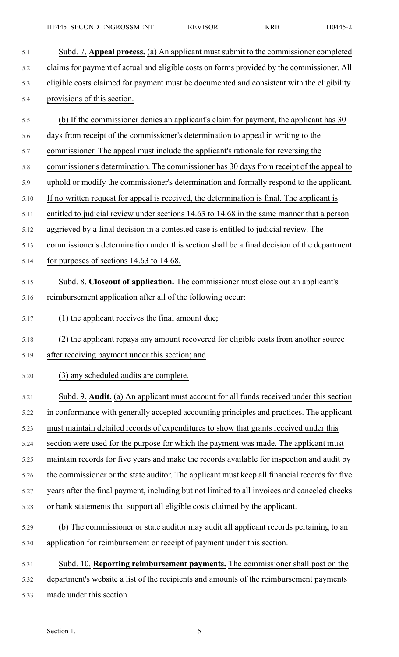- 5.1 Subd. 7. **Appeal process.** (a) An applicant must submit to the commissioner completed 5.2 claims for payment of actual and eligible costs on forms provided by the commissioner. All 5.3 eligible costs claimed for payment must be documented and consistent with the eligibility 5.4 provisions of this section. 5.5 (b) If the commissioner denies an applicant's claim for payment, the applicant has 30 5.6 days from receipt of the commissioner's determination to appeal in writing to the 5.7 commissioner. The appeal must include the applicant's rationale for reversing the 5.8 commissioner's determination. The commissioner has 30 days from receipt of the appeal to 5.9 uphold or modify the commissioner's determination and formally respond to the applicant. 5.10 If no written request for appeal is received, the determination is final. The applicant is 5.11 entitled to judicial review under sections 14.63 to 14.68 in the same manner that a person 5.12 aggrieved by a final decision in a contested case is entitled to judicial review. The 5.13 commissioner's determination under this section shall be a final decision of the department 5.14 for purposes of sections 14.63 to 14.68. 5.15 Subd. 8. **Closeout of application.** The commissioner must close out an applicant's 5.16 reimbursement application after all of the following occur: 5.17 (1) the applicant receives the final amount due; 5.18 (2) the applicant repays any amount recovered for eligible costs from another source 5.19 after receiving payment under this section; and 5.20 (3) any scheduled audits are complete. 5.21 Subd. 9. **Audit.** (a) An applicant must account for all funds received under this section 5.22 in conformance with generally accepted accounting principles and practices. The applicant 5.23 must maintain detailed records of expenditures to show that grants received under this 5.24 section were used for the purpose for which the payment was made. The applicant must 5.25 maintain records for five years and make the records available for inspection and audit by 5.26 the commissioner or the state auditor. The applicant must keep all financial records for five 5.27 years after the final payment, including but not limited to all invoices and canceled checks 5.28 or bank statements that support all eligible costs claimed by the applicant. 5.29 (b) The commissioner or state auditor may audit all applicant records pertaining to an 5.30 application for reimbursement or receipt of payment under this section. 5.31 Subd. 10. **Reporting reimbursement payments.** The commissioner shall post on the 5.32 department's website a list of the recipients and amounts of the reimbursement payments
- 5.33 made under this section.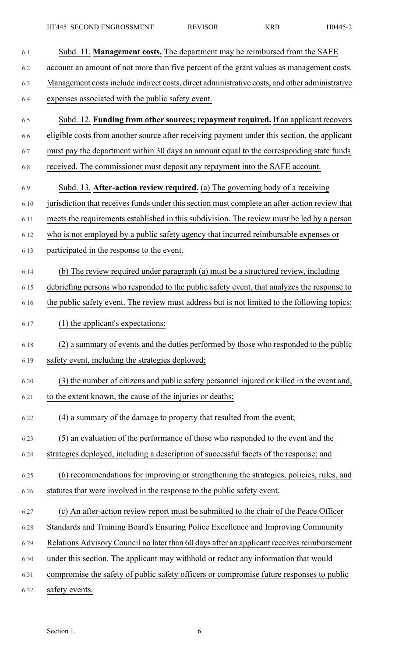| 6.1  | Subd. 11. Management costs. The department may be reimbursed from the SAFE                     |
|------|------------------------------------------------------------------------------------------------|
| 6.2  | account an amount of not more than five percent of the grant values as management costs.       |
| 6.3  | Management costs include indirect costs, direct administrative costs, and other administrative |
| 6.4  | expenses associated with the public safety event.                                              |
| 6.5  | Subd. 12. Funding from other sources; repayment required. If an applicant recovers             |
| 6.6  | eligible costs from another source after receiving payment under this section, the applicant   |
| 6.7  | must pay the department within 30 days an amount equal to the corresponding state funds        |
| 6.8  | received. The commissioner must deposit any repayment into the SAFE account.                   |
| 6.9  | Subd. 13. After-action review required. (a) The governing body of a receiving                  |
| 6.10 | jurisdiction that receives funds under this section must complete an after-action review that  |
| 6.11 | meets the requirements established in this subdivision. The review must be led by a person     |
| 6.12 | who is not employed by a public safety agency that incurred reimbursable expenses or           |
| 6.13 | participated in the response to the event.                                                     |
| 6.14 | (b) The review required under paragraph (a) must be a structured review, including             |
| 6.15 | debriefing persons who responded to the public safety event, that analyzes the response to     |
| 6.16 | the public safety event. The review must address but is not limited to the following topics:   |
| 6.17 | (1) the applicant's expectations;                                                              |
| 6.18 | (2) a summary of events and the duties performed by those who responded to the public          |
| 6.19 | safety event, including the strategies deployed;                                               |
| 6.20 | (3) the number of citizens and public safety personnel injured or killed in the event and,     |
| 6.21 | to the extent known, the cause of the injuries or deaths;                                      |
| 6.22 | (4) a summary of the damage to property that resulted from the event;                          |
| 6.23 | (5) an evaluation of the performance of those who responded to the event and the               |
| 6.24 | strategies deployed, including a description of successful facets of the response; and         |
| 6.25 | (6) recommendations for improving or strengthening the strategies, policies, rules, and        |
| 6.26 | statutes that were involved in the response to the public safety event.                        |
| 6.27 | (c) An after-action review report must be submitted to the chair of the Peace Officer          |
| 6.28 | Standards and Training Board's Ensuring Police Excellence and Improving Community              |
| 6.29 | Relations Advisory Council no later than 60 days after an applicant receives reimbursement     |
| 6.30 | under this section. The applicant may withhold or redact any information that would            |
| 6.31 | compromise the safety of public safety officers or compromise future responses to public       |
| 6.32 | safety events.                                                                                 |

Section 1. 6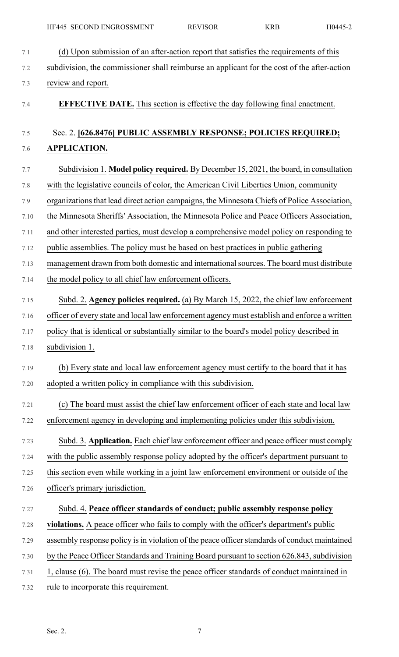| 7.1   | (d) Upon submission of an after-action report that satisfies the requirements of this         |
|-------|-----------------------------------------------------------------------------------------------|
| 7.2   | subdivision, the commissioner shall reimburse an applicant for the cost of the after-action   |
| 7.3   | review and report.                                                                            |
| 7.4   | <b>EFFECTIVE DATE.</b> This section is effective the day following final enactment.           |
| $7.5$ | Sec. 2. [626.8476] PUBLIC ASSEMBLY RESPONSE; POLICIES REQUIRED;                               |
| 7.6   | <b>APPLICATION.</b>                                                                           |
| 7.7   | Subdivision 1. Model policy required. By December 15, 2021, the board, in consultation        |
| 7.8   | with the legislative councils of color, the American Civil Liberties Union, community         |
| 7.9   | organizations that lead direct action campaigns, the Minnesota Chiefs of Police Association,  |
| 7.10  | the Minnesota Sheriffs' Association, the Minnesota Police and Peace Officers Association,     |
| 7.11  | and other interested parties, must develop a comprehensive model policy on responding to      |
| 7.12  | public assemblies. The policy must be based on best practices in public gathering             |
| 7.13  | management drawn from both domestic and international sources. The board must distribute      |
| 7.14  | the model policy to all chief law enforcement officers.                                       |
| 7.15  | Subd. 2. Agency policies required. (a) By March 15, 2022, the chief law enforcement           |
| 7.16  | officer of every state and local law enforcement agency must establish and enforce a written  |
| 7.17  | policy that is identical or substantially similar to the board's model policy described in    |
| 7.18  | subdivision 1.                                                                                |
| 7.19  | (b) Every state and local law enforcement agency must certify to the board that it has        |
| 7.20  | adopted a written policy in compliance with this subdivision.                                 |
| 7.21  | (c) The board must assist the chief law enforcement officer of each state and local law       |
| 7.22  | enforcement agency in developing and implementing policies under this subdivision.            |
| 7.23  | Subd. 3. Application. Each chief law enforcement officer and peace officer must comply        |
| 7.24  | with the public assembly response policy adopted by the officer's department pursuant to      |
| 7.25  | this section even while working in a joint law enforcement environment or outside of the      |
| 7.26  | officer's primary jurisdiction.                                                               |
| 7.27  | Subd. 4. Peace officer standards of conduct; public assembly response policy                  |
| 7.28  | violations. A peace officer who fails to comply with the officer's department's public        |
| 7.29  | assembly response policy is in violation of the peace officer standards of conduct maintained |
| 7.30  | by the Peace Officer Standards and Training Board pursuant to section 626.843, subdivision    |
| 7.31  | 1, clause (6). The board must revise the peace officer standards of conduct maintained in     |

7.32 rule to incorporate this requirement.